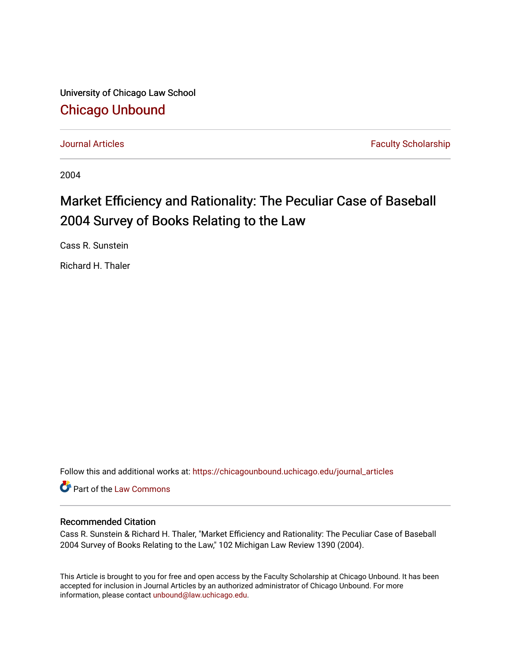University of Chicago Law School [Chicago Unbound](https://chicagounbound.uchicago.edu/)

[Journal Articles](https://chicagounbound.uchicago.edu/journal_articles) **Faculty Scholarship Journal Articles** 

2004

# Market Efficiency and Rationality: The Peculiar Case of Baseball 2004 Survey of Books Relating to the Law

Cass R. Sunstein

Richard H. Thaler

Follow this and additional works at: [https://chicagounbound.uchicago.edu/journal\\_articles](https://chicagounbound.uchicago.edu/journal_articles?utm_source=chicagounbound.uchicago.edu%2Fjournal_articles%2F8458&utm_medium=PDF&utm_campaign=PDFCoverPages) 

Part of the [Law Commons](http://network.bepress.com/hgg/discipline/578?utm_source=chicagounbound.uchicago.edu%2Fjournal_articles%2F8458&utm_medium=PDF&utm_campaign=PDFCoverPages)

# Recommended Citation

Cass R. Sunstein & Richard H. Thaler, "Market Efficiency and Rationality: The Peculiar Case of Baseball 2004 Survey of Books Relating to the Law," 102 Michigan Law Review 1390 (2004).

This Article is brought to you for free and open access by the Faculty Scholarship at Chicago Unbound. It has been accepted for inclusion in Journal Articles by an authorized administrator of Chicago Unbound. For more information, please contact [unbound@law.uchicago.edu](mailto:unbound@law.uchicago.edu).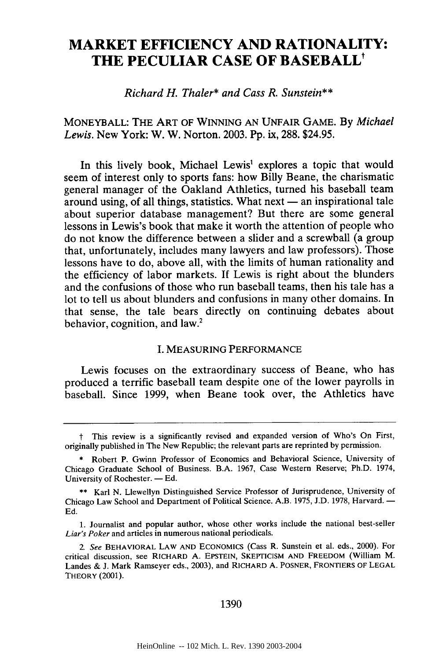# **MARKET EFFICIENCY AND RATIONALITY: THE PECULIAR CASE OF BASEBALL'**

*Richard H. Thaler\* and Cass R. Sunstein\*\**

MONEYBALL: THE ART OF WINNING AN UNFAIR GAME. By *Michael Lewis.* New York: W. W. Norton. 2003. Pp. ix, 288. \$24.95.

In this lively book, Michael Lewis' explores a topic that would seem of interest only to sports fans: how Billy Beane, the charismatic general manager of the Oakland Athletics, turned his baseball team around using, of all things, statistics. What  $next - an$  inspirational tale about superior database management? But there are some general lessons in Lewis's book that make it worth the attention of people who do not know the difference between a slider and a screwball (a group that, unfortunately, includes many lawyers and law professors). Those lessons have to do, above all, with the limits of human rationality and the efficiency of labor markets. If Lewis is right about the blunders and the confusions of those who run baseball teams, then his tale has a lot to tell us about blunders and confusions in many other domains. In that sense, the tale bears directly on continuing debates about behavior, cognition, and law.'

#### I. MEASURING PERFORMANCE

Lewis focuses on the extraordinary success of Beane, who has produced a terrific baseball team despite one of the lower payrolls in baseball. Since 1999, when Beane took over, the Athletics have

#### 1390

**f** This review is a significantly revised and expanded version of Who's On First, originally published in The New Republic; the relevant parts are reprinted by permission.

<sup>\*</sup> Robert P. Gwinn Professor of Economics and Behavioral Science, University of Chicago Graduate School of Business. B.A. 1967, Case Western Reserve; Ph.D. 1974, University of Rochester. - Ed.

<sup>\*\*</sup> Karl N. Llewellyn Distinguished Service Professor of Jurisprudence, University of Chicago Law School and Department of Political Science. A.B. 1975, J.D. 1978, Harvard. -Ed.

<sup>1.</sup> Journalist and popular author, whose other works include the national best-seller *Liar's Poker* and articles in numerous national periodicals.

*<sup>2.</sup> See* BEHAVIORAL LAW **AND** ECONOMICS (Cass R. Sunstein et al. eds., 2000). For critical discussion, see RICHARD A. EPSTEIN, **SKEPTICISM AND** FREEDOM (William M. Landes & J. Mark Ramseyer eds., 2003), and RICHARD **A.** POSNER, FRONTIERS OF **LEGAL** THEORY (2001).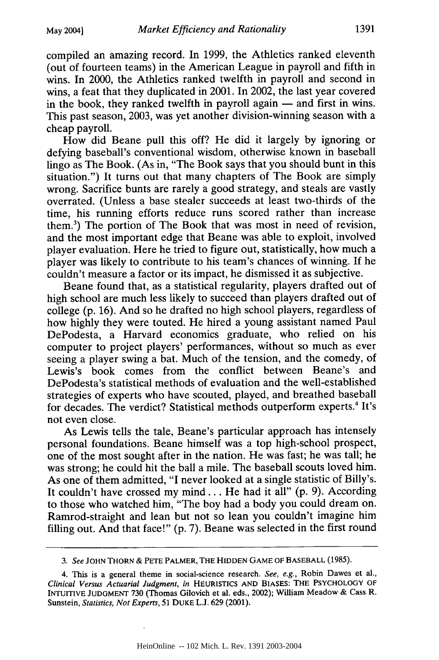compiled an amazing record. In 1999, the Athletics ranked eleventh (out of fourteen teams) in the American League in payroll and fifth in wins. In 2000, the Athletics ranked twelfth in payroll and second in wins, a feat that they duplicated in 2001. In 2002, the last year covered in the book, they ranked twelfth in payroll again  $-$  and first in wins. This past season, 2003, was yet another division-winning season with a cheap payroll.

How did Beane pull this off? He did it largely by ignoring or defying baseball's conventional wisdom, otherwise known in baseball lingo as The Book. (As in, "The Book says that you should bunt in this situation.") It turns out that many chapters of The Book are simply wrong. Sacrifice bunts are rarely a good strategy, and steals are vastly overrated. (Unless a base stealer succeeds at least two-thirds of the time, his running efforts reduce runs scored rather than increase them.') The portion of The Book that was most in need of revision, and the most important edge that Beane was able to exploit, involved player evaluation. Here he tried to figure out, statistically, how much a player was likely to contribute to his team's chances of winning. If he couldn't measure a factor or its impact, he dismissed it as subjective.

Beane found that, as a statistical regularity, players drafted out of high school are much less likely to succeed than players drafted out of college (p. 16). And so he drafted no high school players, regardless of how highly they were touted. He hired a young assistant named Paul DePodesta, a Harvard economics graduate, who relied on his computer to project players' performances, without so much as ever seeing a player swing a bat. Much of the tension, and the comedy, of Lewis's book comes from the conflict between Beane's and DePodesta's statistical methods of evaluation and the well-established strategies of experts who have scouted, played, and breathed baseball for decades. The verdict? Statistical methods outperform experts.4 It's not even close.

As Lewis tells the tale, Beane's particular approach has intensely personal foundations. Beane himself was a top high-school prospect, one of the most sought after in the nation. He was fast; he was tall; he was strong; he could hit the ball a mile. The baseball scouts loved him. As one of them admitted, "I never looked at a single statistic of Billy's. It couldn't have crossed my mind... He had it all" (p. 9). According to those who watched him, "The boy had a body you could dream on. Ramrod-straight and lean but not so lean you couldn't imagine him filling out. And that face!" (p. 7). Beane was selected in the first round

*<sup>3.</sup> See* JOHN THORN & PETE PALMER, THE HIDDEN GAME OF BASEBALL (1985).

<sup>4.</sup> This is a general theme in social-science research. *See, e.g.,* Robin Dawes et al., *Clinical Versus Actuarial Judgment, in* HEURISTICS AND BIASES: THE PSYCHOLOGY OF INTUMVE JUDGMENT 730 (Thomas Gilovich et al. eds., 2002); William Meadow & Cass R. Sunstein, *Statistics, Not Experts,* 51 DUKE L.J. 629 (2001).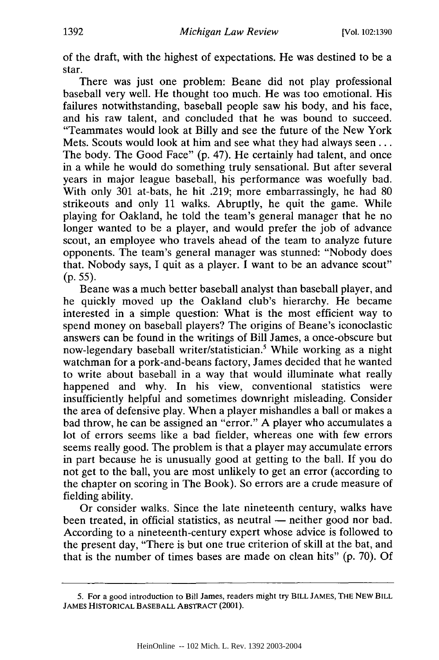of the draft, with the highest of expectations. He was destined to be a star.

There was just one problem: Beane did not play professional baseball very well. He thought too much. He was too emotional. His failures notwithstanding, baseball people saw his body, and his face, and his raw talent, and concluded that he was bound to succeed. "Teammates would look at Billy and see the future of the New York Mets. Scouts would look at him and see what they had always seen... The body. The Good Face" (p. 47). He certainly had talent, and once in a while he would do something truly sensational. But after several years in major league baseball, his performance was woefully bad. With only 301 at-bats, he hit .219; more embarrassingly, he had 80 strikeouts and only 11 walks. Abruptly, he quit the game. While playing for Oakland, he told the team's general manager that he no longer wanted to be a player, and would prefer the job of advance scout, an employee who travels ahead of the team to analyze future opponents. The team's general manager was stunned: "Nobody does that. Nobody says, I quit as a player. I want to be an advance scout" (p. 55).

Beane was a much better baseball analyst than baseball player, and he quickly moved up the Oakland club's hierarchy. He became interested in a simple question: What is the most efficient way to spend money on baseball players? The origins of Beane's iconoclastic answers can be found in the writings of Bill James, a once-obscure but now-legendary baseball writer/statistician.<sup>5</sup> While working as a night watchman for a pork-and-beans factory, James decided that he wanted to write about baseball in a way that would illuminate what really happened and why. In his view, conventional statistics were insufficiently helpful and sometimes downright misleading. Consider the area of defensive play. When a player mishandles a ball or makes a bad throw, he can be assigned an "error." A player who accumulates a lot of errors seems like a bad fielder, whereas one with few errors seems really good. The problem is that a player may accumulate errors in part because he is unusually good at getting to the ball. If you do not get to the ball, you are most unlikely to get an error (according to the chapter on scoring in The Book). So errors are a crude measure of fielding ability.

Or consider walks. Since the late nineteenth century, walks have been treated, in official statistics, as neutral - neither good nor bad. According to a nineteenth-century expert whose advice is followed to the present day, "There is but one true criterion of skill at the bat, and that is the number of times bases are made on clean hits" (p. 70). Of

<sup>5.</sup> For a good introduction to Bill James, readers might try BILL **JAMES,** THE NEW BILL **JAMES** HISTORICAL **BASEBALL** ABSTRACT (2001).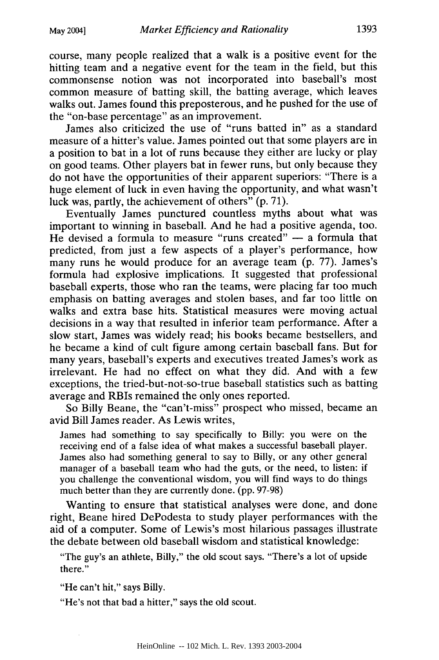course, many people realized that a walk is a positive event for the hitting team and a negative event for the team in the field, but this commonsense notion was not incorporated into baseball's most common measure of batting skill, the batting average, which leaves walks out. James found this preposterous, and he pushed for the use of the "on-base percentage" as an improvement.

James also criticized the use of "runs batted in" as a standard measure of a hitter's value. James pointed out that some players are in a position to bat in a lot of runs because they either are lucky or play on good teams. Other players bat in fewer runs, but only because they do not have the opportunities of their apparent superiors: "There is a huge element of luck in even having the opportunity, and what wasn't luck was, partly, the achievement of others" (p. 71).

Eventually James punctured countless myths about what was important to winning in baseball. And he had a positive agenda, too. He devised a formula to measure "runs created"  $-$  a formula that predicted, from just a few aspects of a player's performance, how many runs he would produce for an average team (p. 77). James's formula had explosive implications. It suggested that professional baseball experts, those who ran the teams, were placing far too much emphasis on batting averages and stolen bases, and far too little on walks and extra base hits. Statistical measures were moving actual decisions in a way that resulted in inferior team performance. After a slow start, James was widely read; his books became bestsellers, and he became a kind of cult figure among certain baseball fans. But for many years, baseball's experts and executives treated James's work as irrelevant. He had no effect on what they did. And with a few exceptions, the tried-but-not-so-true baseball statistics such as batting average and RBIs remained the only ones reported.

So Billy Beane, the "can't-miss" prospect who missed, became an avid Bill James reader. As Lewis writes,

James had something to say specifically to Billy: you were on the receiving end of a false idea of what makes a successful baseball player. James also had something general to say to Billy, or any other general manager of a baseball team who had the guts, or the need, to listen: if you challenge the conventional wisdom, you will find ways to do things much better than they are currently done. (pp. 97-98)

Wanting to ensure that statistical analyses were done, and done right, Beane hired DePodesta to study player performances with the aid of a computer. Some of Lewis's most hilarious passages illustrate the debate between old baseball wisdom and statistical knowledge:

"The guy's an athlete, Billy," the old scout says. "There's a lot of upside there."

"He can't hit," says Billy.

"He's not that bad a hitter," says the old scout.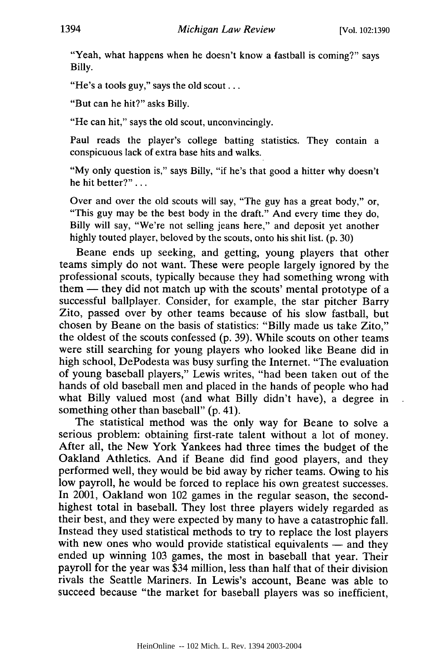"Yeah, what happens when he doesn't know a fastball is coming?" says Billy.

"He's a tools guy," says the old scout...

"But can he hit?" asks Billy.

"He can hit," says the old scout, unconvincingly.

Paul reads the player's college batting statistics. They contain a conspicuous lack of extra base hits and walks.

"My only question is," says Billy, "if he's that good a hitter why doesn't he hit better?"...

Over and over the old scouts will say, "The guy has a great body," or, "This guy may be the best body in the draft." And every time they do, Billy will say, "We're not selling jeans here," and deposit yet another highly touted player, beloved by the scouts, onto his shit list. (p. 30)

Beane ends up seeking, and getting, young players that other teams simply do not want. These were people largely ignored by the professional scouts, typically because they had something wrong with  $t$ hem  $-$  they did not match up with the scouts' mental prototype of a successful ballplayer. Consider, for example, the star pitcher Barry Zito, passed over by other teams because of his slow fastball, but chosen by Beane on the basis of statistics: "Billy made us take Zito," the oldest of the scouts confessed (p. 39). While scouts on other teams were still searching for young players who looked like Beane did in high school, DePodesta was busy surfing the Internet. "The evaluation of young baseball players," Lewis writes, "had been taken out of the hands of old baseball men and placed in the hands of people who had what Billy valued most (and what Billy didn't have), a degree in something other than baseball" (p. 41).

The statistical method was the only way for Beane to solve a serious problem: obtaining first-rate talent without a lot of money. After all, the New York Yankees had three times the budget of the Oakland Athletics. And if Beane did find good players, and they performed well, they would be bid away by richer teams. Owing to his low payroll, he would be forced to replace his own greatest successes. In 2001, Oakland won 102 games in the regular season, the secondhighest total in baseball. They lost three players widely regarded as their best, and they were expected by many to have a catastrophic fall. Instead they used statistical methods to try to replace the lost players with new ones who would provide statistical equivalents  $-$  and they ended up winning 103 games, the most in baseball that year. Their payroll for the year was \$34 million, less than half that of their division rivals the Seattle Mariners. In Lewis's account, Beane was able to succeed because "the market for baseball players was so inefficient,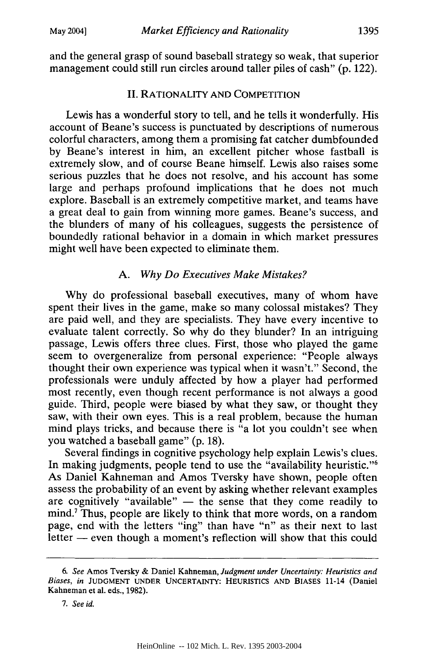and the general grasp of sound baseball strategy so weak, that superior management could still run circles around taller piles of cash" (p. 122).

#### **II. RATIONALITY AND** COMPETITION

Lewis has a wonderful story to tell, and he tells it wonderfully. His account of Beane's success is punctuated by descriptions of numerous colorful characters, among them a promising fat catcher dumbfounded by Beane's interest in him, an excellent pitcher whose fastball is extremely slow, and of course Beane himself. Lewis also raises some serious puzzles that he does not resolve, and his account has some large and perhaps profound implications that he does not much explore. Baseball is an extremely competitive market, and teams have a great deal to gain from winning more games. Beane's success, and the blunders of many of his colleagues, suggests the persistence of boundedly rational behavior in a domain in which market pressures might well have been expected to eliminate them.

## **A.** *Why Do Executives Make Mistakes?*

Why do professional baseball executives, many of whom have spent their lives in the game, make so many colossal mistakes? They are paid well, and they are specialists. They have every incentive to evaluate talent correctly. So why do they blunder? In an intriguing passage, Lewis offers three clues. First, those who played the game seem to overgeneralize from personal experience: "People always thought their own experience was typical when it wasn't." Second, the professionals were unduly affected by how a player had performed most recently, even though recent performance is not always a good guide. Third, people were biased by what they saw, or thought they saw, with their own eyes. This is a real problem, because the human mind plays tricks, and because there is "a lot you couldn't see when you watched a baseball game" (p. 18).

Several findings in cognitive psychology help explain Lewis's clues. In making judgments, people tend to use the "availability heuristic."6 As Daniel Kahneman and Amos Tversky have shown, people often assess the probability of an event by asking whether relevant examples are cognitively "available"  $-$  the sense that they come readily to mind.7 Thus, people are likely to think that more words, on a random page, end with the letters "ing" than have "n" as their next to last letter — even though a moment's reflection will show that this could

*<sup>6.</sup> See* Amos Tversky & Daniel Kahneman, *Judgment under Uncertainty: Heuristics and Biases, in* **JUDGMENT UNDER UNCERTAINTY:** HEURISTICS **AND BIASES** 11-14 (Daniel Kahneman et al. eds., 1982).

*<sup>7.</sup> See id.*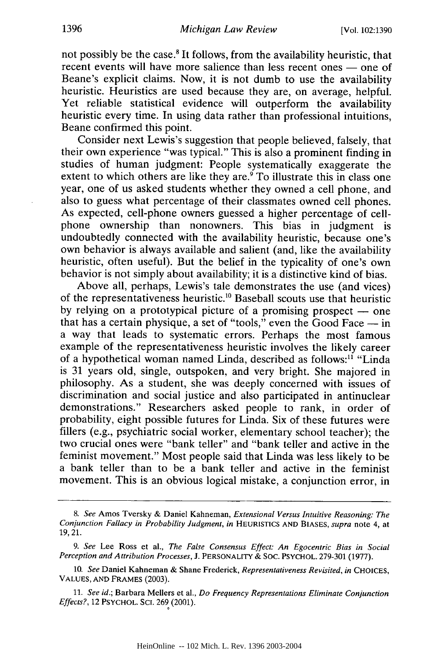not possibly be the case.<sup>8</sup> It follows, from the availability heuristic, that recent events will have more salience than less recent ones — one of Beane's explicit claims. Now, it is not dumb to use the availability heuristic. Heuristics are used because they are, on average, helpful. Yet reliable statistical evidence will outperform the availability heuristic every time. In using data rather than professional intuitions, Beane confirmed this point.

Consider next Lewis's suggestion that people believed, falsely, that their own experience "was typical." This is also a prominent finding in studies of human judgment: People systematically exaggerate the extent to which others are like they are. $9$  To illustrate this in class one year, one of us asked students whether they owned a cell phone, and also to guess what percentage of their classmates owned cell phones. As expected, cell-phone owners guessed a higher percentage of cellphone ownership than nonowners. This bias in judgment is undoubtedly connected with the availability heuristic, because one's own behavior is always available and salient (and, like the availability heuristic, often useful). But the belief in the typicality of one's own behavior is not simply about availability; it is a distinctive kind of bias.

Above all, perhaps, Lewis's tale demonstrates the use (and vices) of the representativeness heuristic.<sup>10</sup> Baseball scouts use that heuristic by relying on a prototypical picture of a promising prospect  $-$  one that has a certain physique, a set of "tools," even the Good Face  $-$  in a way that leads to systematic errors. Perhaps the most famous example of the representativeness heuristic involves the likely career of a hypothetical woman named Linda, described as follows:<sup>11</sup> "Linda" is 31 years old, single, outspoken, and very bright. She majored in philosophy. As a student, she was deeply concerned with issues of discrimination and social justice and also participated in antinuclear demonstrations." Researchers asked people to rank, in order of probability, eight possible futures for Linda. Six of these futures were fillers (e.g., psychiatric social worker, elementary school teacher); the two crucial ones were "bank teller" and "bank teller and active in the feminist movement." Most people said that Linda was less likely to be a bank teller than to be a bank teller and active in the feminist movement. This is an obvious logical mistake, a conjunction error, in

*<sup>8.</sup> See* Amos Tversky & Daniel Kahneman, *Extensional Versus Intuitive Reasoning: The Conjunction Fallacy in Probability Judgment, in* **HEURISTICS AND BIASES,** *supra* note 4, at 19,21.

*<sup>9.</sup> See* Lee Ross et al., *The False Consensus Effect: An Egocentric Bias in Social Perception and Attribution Processes,* **J.** PERSONALITY & SOC. PSYCHOL. 279-301 (1977).

<sup>10.</sup> *See* Daniel Kahneman & Shane Frederick, *Representativeness Revisited, in* **CHOICES, VALUES, AND** FRAMES (2003).

<sup>11.</sup> *See id.;* Barbara Mellers et al., *Do Frequency Representations Eliminate Conjunction Effects?,* 12 PSYCHOL. SCI. 269 (2001).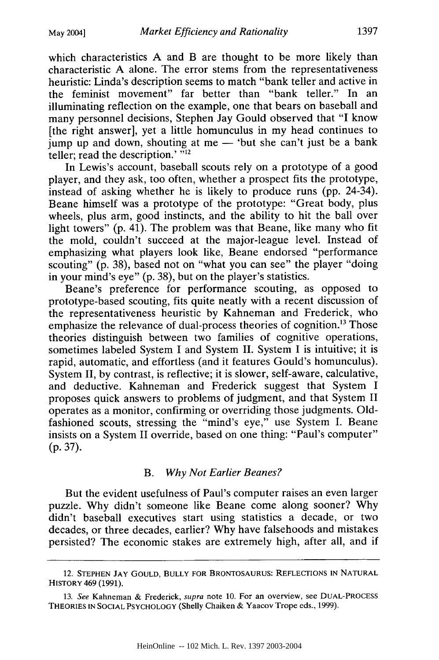which characteristics A and B are thought to be more likely than characteristic A alone. The error stems from the representativeness heuristic: Linda's description seems to match "bank teller and active in the feminist movement" far better than "bank teller." In an illuminating reflection on the example, one that bears on baseball and many personnel decisions, Stephen Jay Gould observed that "I know [the right answer], yet a little homunculus in my head continues to jump up and down, shouting at me - 'but she can't just be a bank teller; read the description.' <sup>"12</sup>

In Lewis's account, baseball scouts rely on a prototype of a good player, and they ask, too often, whether a prospect fits the prototype, instead of asking whether he is likely to produce runs (pp. 24-34). Beane himself was a prototype of the prototype: "Great body, plus wheels, plus arm, good instincts, and the ability to hit the ball over light towers" (p. 41). The problem was that Beane, like many who fit the mold, couldn't succeed at the major-league level. Instead of emphasizing what players look like, Beane endorsed "performance scouting" (p. 38), based not on "what you can see" the player "doing in your mind's eye" (p. 38), but on the player's statistics.

Beane's preference for performance scouting, as opposed to prototype-based scouting, fits quite neatly with a recent discussion of the representativeness heuristic by Kahneman and Frederick, who emphasize the relevance of dual-process theories of cognition.<sup>13</sup> Those theories distinguish between two families of cognitive operations, sometimes labeled System I and System II. System I is intuitive; it is rapid, automatic, and effortless (and it features Gould's homunculus). System II, by contrast, is reflective; it is slower, self-aware, calculative, and deductive. Kahneman and Frederick suggest that System I proposes quick answers to problems of judgment, and that System II operates as a monitor, confirming or overriding those judgments. Oldfashioned scouts, stressing the "mind's eye," use System I. Beane insists on a System II override, based on one thing: "Paul's computer" (p. 37).

#### *B. Why Not Earlier Beanes?*

But the evident usefulness of Paul's computer raises an even larger puzzle. Why didn't someone like Beane come along sooner? Why didn't baseball executives start using statistics a decade, or two decades, or three decades, earlier? Why have falsehoods and mistakes persisted? The economic stakes are extremely high, after all, and if

<sup>12.</sup> **STEPHEN JAY GOULD,** BULLY FOR **BRONTOSAURUS:** REFLECTIONS **IN NATURAL** HISTORY 469 **(1991).**

**<sup>13.</sup>** See Kahneman **&** Frederick, supra note **10. For** an overview, see **DUAL-PROCESS** THEORIES **IN SOCIAL** PSYCHOLOGY (Shelly Chaiken **&** Yaacov Trope eds., **1999).**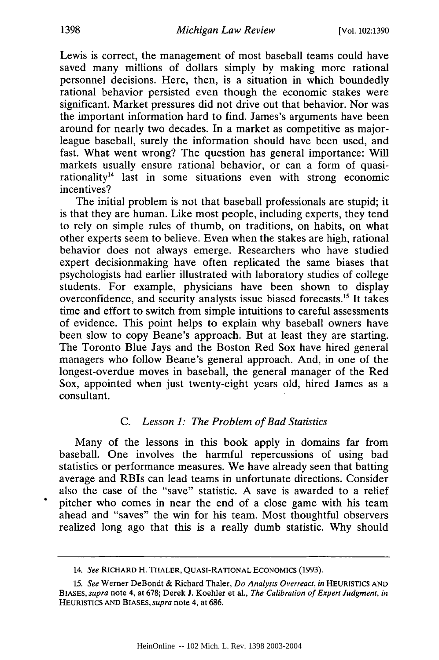Lewis is correct, the management of most baseball teams could have saved many millions of dollars simply by making more rational personnel decisions. Here, then, is a situation in which boundedly rational behavior persisted even though the economic stakes were significant. Market pressures did not drive out that behavior. Nor was the important information hard to find. James's arguments have been around for nearly two decades. In a market as competitive as majorleague baseball, surely the information should have been used, and fast. What went wrong? The question has general importance: Will markets usually ensure rational behavior, or can a form of quasirationality<sup>14</sup> last in some situations even with strong economic incentives?

The initial problem is not that baseball professionals are stupid; it is that they are human. Like most people, including experts, they tend to rely on simple rules of thumb, on traditions, on habits, on what other experts seem to believe. Even when the stakes are high, rational behavior does not always emerge. Researchers who have studied expert decisionmaking have often replicated the same biases that psychologists had earlier illustrated with laboratory studies of college students. For example, physicians have been shown to display overconfidence, and security analysts issue biased forecasts.<sup>15</sup> It takes time and effort to switch from simple intuitions to careful assessments of evidence. This point helps to explain why baseball owners have been slow to copy Beane's approach. But at least they are starting. The Toronto Blue Jays and the Boston Red Sox have hired general managers who follow Beane's general approach. And, in one of the longest-overdue moves in baseball, the general manager of the Red Sox, appointed when just twenty-eight years old, hired James as a consultant.

#### *C. Lesson 1: The Problem of Bad Statistics*

Many of the lessons in this book apply in domains far from baseball. One involves the harmful repercussions of using bad statistics or performance measures. We have already seen that batting average and RBIs can lead teams in unfortunate directions. Consider also the case of the "save" statistic. A save is awarded to a relief pitcher who comes in near the end of a close game with his team ahead and "saves" the win for his team. Most thoughtful observers realized long ago that this is a really dumb statistic. Why should

<sup>14.</sup> *See* RICHARD H. THALER, QUASI-RATIONAL **ECONOMICS (1993).**

<sup>15.</sup> *See* Werner DeBondt & Richard Thaler, *Do Analysts Overreact, in* HEURISTICS AND BIASES, *supra* note 4, at 678; Derek J. Koehler et al., *The Calibration of Expert Judgment, in* **HEURISTICS AND BIASES,** *supra* note 4, at 686.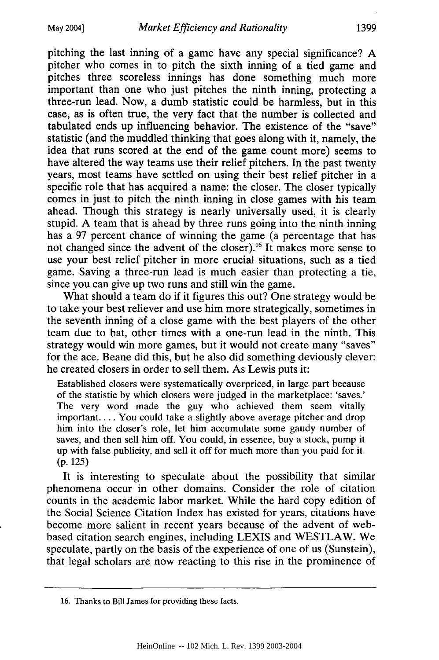pitching the last inning of a game have any special significance? A pitcher who comes in to pitch the sixth inning of a tied game and pitches three scoreless innings has done something much more important than one who just pitches the ninth inning, protecting a three-run lead. Now, a dumb statistic could be harmless, but in this case, as is often true, the very fact that the number is collected and tabulated ends up influencing behavior. The existence of the "save" statistic (and the muddled thinking that goes along with it, namely, the idea that runs scored at the end of the game count more) seems to have altered the way teams use their relief pitchers. In the past twenty years, most teams have settled on using their best relief pitcher in a specific role that has acquired a name: the closer. The closer typically comes in just to pitch the ninth inning in close games with his team ahead. Though this strategy is nearly universally used, it is clearly stupid. A team that is ahead by three runs going into the ninth inning has a 97 percent chance of winning the game (a percentage that has not changed since the advent of the closer).16 It makes more sense to use your best relief pitcher in more crucial situations, such as a tied game. Saving a three-run lead is much easier than protecting a tie, since you can give up two runs and still win the game.

What should a team do if it figures this out? One strategy would be to take your best reliever and use him more strategically, sometimes in the seventh inning of a close game with the best players of the other team due to bat, other times with a one-run lead in the ninth. This strategy would win more games, but it would not create many "saves" for the ace. Beane did this, but he also did something deviously clever: he created closers in order to sell them. As Lewis puts it:

Established closers were systematically overpriced, in large part because of the statistic by which closers were judged in the marketplace: 'saves.' The very word made the guy who achieved them seem vitally important.... You could take a slightly above average pitcher and drop him into the closer's role, let him accumulate some gaudy number of saves, and then sell him off. You could, in essence, buy a stock, pump it up with false publicity, and sell it off for much more than you paid for it. (p. 125)

It is interesting to speculate about the possibility that similar phenomena occur in other domains. Consider the role of citation counts in the academic labor market. While the hard copy edition of the Social Science Citation Index has existed for years, citations have become more salient in recent years because of the advent of webbased citation search engines, including LEXIS and WESTLAW. We speculate, partly on the basis of the experience of one of us (Sunstein), that legal scholars are now reacting to this rise in the prominence of

<sup>16.</sup> Thanks to Bill James for providing these facts.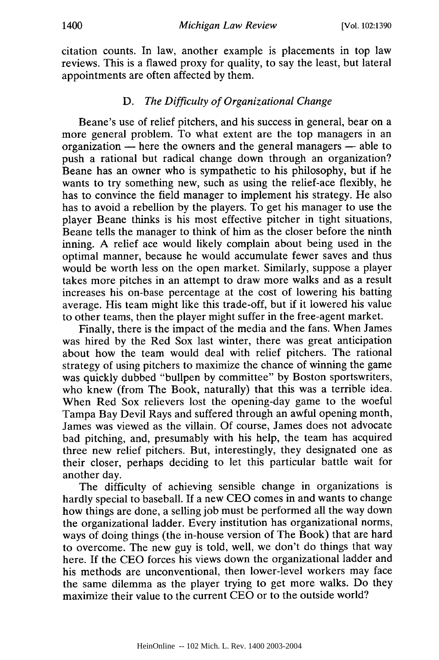citation counts. In law, another example is placements in top law reviews. This is a flawed proxy for quality, to say the least, but lateral appointments are often affected by them.

### *D. The Difficulty of Organizational Change*

Beane's use of relief pitchers, and his success in general, bear on a more general problem. To what extent are the top managers in an organization  $-$  here the owners and the general managers  $-$  able to push a rational but radical change down through an organization? Beane has an owner who is sympathetic to his philosophy, but if he wants to try something new, such as using the relief-ace flexibly, he has to convince the field manager to implement his strategy. He also has to avoid a rebellion by the players. To get his manager to use the player Beane thinks is his most effective pitcher in tight situations, Beane tells the manager to think of him as the closer before the ninth inning. A relief ace would likely complain about being used in the optimal manner, because he would accumulate fewer saves and thus would be worth less on the open market. Similarly, suppose a player takes more pitches in an attempt to draw more walks and as a result increases his on-base percentage at the cost of lowering his batting average. His team might like this trade-off, but if it lowered his value to other teams, then the player might suffer in the free-agent market.

Finally, there is the impact of the media and the fans. When James was hired by the Red Sox last winter, there was great anticipation about how the team would deal with relief pitchers. The rational strategy of using pitchers to maximize the chance of winning the game was quickly dubbed "bullpen by committee" by Boston sportswriters, who knew (from The Book, naturally) that this was a terrible idea. When Red Sox relievers lost the opening-day game to the woeful Tampa Bay Devil Rays and suffered through an awful opening month, James was viewed as the villain. Of course, James does not advocate bad pitching, and, presumably with his help, the team has acquired three new relief pitchers. But, interestingly, they designated one as their closer, perhaps deciding to let this particular battle wait for another day.

The difficulty of achieving sensible change in organizations is hardly special to baseball. If a new CEO comes in and wants to change how things are done, a selling job must be performed all the way down the organizational ladder. Every institution has organizational norms, ways of doing things (the in-house version of The Book) that are hard to overcome. The new guy is told, well, we don't do things that way here. If the CEO forces his views down the organizational ladder and his methods are unconventional, then lower-level workers may face the same dilemma as the player trying to get more walks. Do they maximize their value to the current CEO or to the outside world?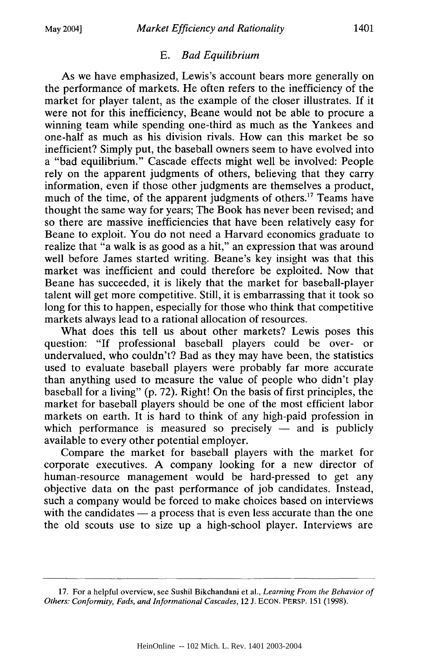#### *E. Bad Equilibrium*

As we have emphasized, Lewis's account bears more generally on the performance of markets. He often refers to the inefficiency of the market for player talent, as the example of the closer illustrates. If it were not for this inefficiency, Beane would not be able to procure a winning team while spending one-third as much as the Yankees and one-half as much as his division rivals. How can this market be so inefficient? Simply put, the baseball owners seem to have evolved into a "bad equilibrium." Cascade effects might well be involved: People rely on the apparent judgments of others, believing that they carry information, even if those other judgments are themselves a product, much of the time, of the apparent judgments of others.<sup>17</sup> Teams have thought the same way for years; The Book has never been revised; and so there are massive inefficiencies that have been relatively easy for Beane to exploit. You do not need a Harvard economics graduate to realize that "a walk is as good as a hit," an expression that was around well before James started writing. Beane's key insight was that this market was inefficient and could therefore be exploited. Now that Beane has succeeded, it is likely that the market for baseball-player talent will get more competitive. Still, it is embarrassing that it took so long for this to happen, especially for those who think that competitive markets always lead to a rational allocation of resources.

What does this tell us about other markets? Lewis poses this question: "If professional baseball players could be over- or undervalued, who couldn't? Bad as they may have been, the statistics used to evaluate baseball players were probably far more accurate than anything used to measure the value of people who didn't play baseball for a living" (p. 72). Right! On the basis of first principles, the market for baseball players should be one of the most efficient labor markets on earth. It is hard to think of any high-paid profession in which performance is measured so precisely  $-$  and is publicly available to every other potential employer.

Compare the market for baseball players with the market for corporate executives. A company looking for a new director of human-resource management would be hard-pressed to get any objective data on the past performance of job candidates. Instead, such a company would be forced to make choices based on interviews with the candidates  $-$  a process that is even less accurate than the one the old scouts use to size up a high-school player. Interviews are

**<sup>17.</sup>** For a helpful overview, see Sushil Bikchandani et al., *Learning From the Behavior of Others: Conformity, Fads, and Informational Cascades,* 12 J. ECON. PERSP. 151 (1998).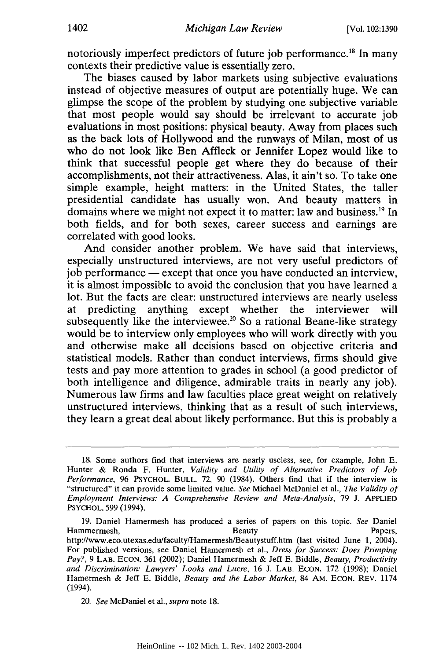notoriously imperfect predictors of future job performance.<sup>18</sup> In many contexts their predictive value is essentially zero.

The biases caused by labor markets using subjective evaluations instead of objective measures of output are potentially huge. We can glimpse the scope of the problem by studying one subjective variable that most people would say should be irrelevant to accurate **job** evaluations in most positions: physical beauty. Away from places such as the back lots of Hollywood and the runways of Milan, most of us who do not look like Ben Affleck or Jennifer Lopez would like to think that successful people get where they do because of their accomplishments, not their attractiveness. Alas, it ain't so. To take one simple example, height matters: in the United States, the taller presidential candidate has usually won. And beauty matters in domains where we might not expect it to matter: law and business.19 In both fields, and for both sexes, career success and earnings are correlated with good looks.

And consider another problem. We have said that interviews, especially unstructured interviews, are not very useful predictors of job performance — except that once you have conducted an interview, it is almost impossible to avoid the conclusion that you have learned a lot. But the facts are clear: unstructured interviews are nearly useless at predicting anything except whether the interviewer will subsequently like the interviewee.<sup>20</sup> So a rational Beane-like strategy would be to interview only employees who will work directly with you and otherwise make all decisions based on objective criteria and statistical models. Rather than conduct interviews, firms should give tests and pay more attention to grades in school (a good predictor of both intelligence and diligence, admirable traits in nearly any job). Numerous law firms and law faculties place great weight on relatively unstructured interviews, thinking that as a result of such interviews, they learn a great deal about likely performance. But this is probably a

<sup>18.</sup> Some authors find that interviews are nearly useless, see, for example, John E. Hunter & Ronda F. Hunter, *Validity and Utility of Alternative Predictors of Job Performance,* 96 PSYCHOL. BULL. 72, **90** (1984). Others find that if the interview is "structured" it can provide some limited value. *See* Michael McDaniel et al., *The Validity of Employment Interviews: A Comprehensive Review and Meta-Analysis,* **79** J. APPLIED PSYCHOL. 599 (1994).

**<sup>19.</sup>** Daniel Hamermesh has produced a series of papers on this topic. *See* Daniel Hammermesh, Beauty Papers, http://www.eco.utexas.edu/faculty/Hamermesh/Beautystuff.htm (last visited June 1, 2004). For published versions, see Daniel Hamermesh et al., *Dress for Success: Does Primping Pay?,* 9 LAB. ECON. 361 (2002); Daniel Hamermesh & Jeff E. Biddle, *Beauty, Productivity and Discrimination: Lawyers' Looks and Lucre,* 16 J. LAB. **ECON.** 172 (1998); Daniel Hamermesh & Jeff E. Biddle, *Beauty and the Labor Market,* 84 AM. ECON. REV. 1174 (1994).

<sup>20.</sup> *See* McDaniel et al., *supra* note 18.